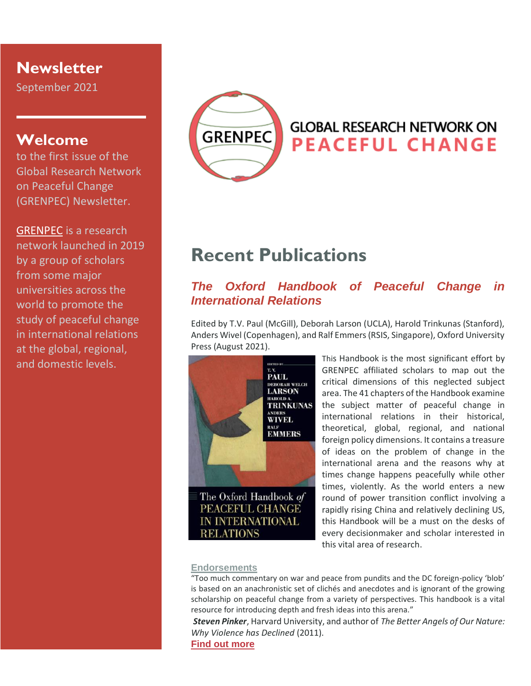## **Newsletter**

September 2021

## **Welcome**

to the first issue of the Global Research Network on Peaceful Change (GRENPEC) Newsletter.

[GRENPEC](https://www.grenpec.com/) is a research network launched in 2019 by a group of scholars from some major universities across the world to promote the study of peaceful change in international relations at the global, regional, and domestic levels.



# **GLOBAL RESEARCH NETWORK ON PEACEFUL CHANGE**

# **Recent Publications**

### *The Oxford Handbook of Peaceful Change in International Relations*

Edited by T.V. Paul (McGill), Deborah Larson (UCLA), Harold Trinkunas (Stanford), Anders Wivel (Copenhagen), and Ralf Emmers (RSIS, Singapore), Oxford University Press (August 2021).



This Handbook is the most significant effort by GRENPEC affiliated scholars to map out the critical dimensions of this neglected subject area. The 41 chapters of the Handbook examine the subject matter of peaceful change in international relations in their historical, theoretical, global, regional, and national foreign policy dimensions. It contains a treasure of ideas on the problem of change in the international arena and the reasons why at times change happens peacefully while other times, violently. As the world enters a new round of power transition conflict involving a rapidly rising China and relatively declining US, this Handbook will be a must on the desks of every decisionmaker and scholar interested in this vital area of research.

#### **[Endorsements](https://www.grenpec.com/featured-books/)**

**RELATIONS** 

"Too much commentary on war and peace from pundits and the DC foreign-policy 'blob' is based on an anachronistic set of clichés and anecdotes and is ignorant of the growing scholarship on peaceful change from a variety of perspectives. This handbook is a vital resource for introducing depth and fresh ideas into this arena."

*[Steven Pinker](https://stevenpinker.com/)*, Harvard University, and author of *The Better Angels of Our Nature: Why Violence has Declined* (2011).

#### **[Find out more](https://global.oup.com/academic/product/the-oxford-handbook-of-peaceful-change-in-international-relations-9780190097356?prevNumResPerPage=100&prevSortField=1&resultsPerPage=100&sortField=1&start=760&lang=en&cc=us)**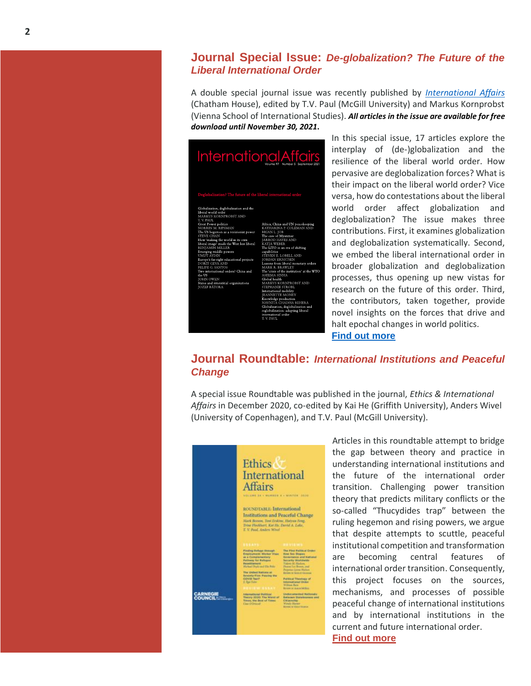### **Journal Special Issue:** *De-globalization? The Future of the Liberal International Order*

A double special journal issue was recently published by *[International Affairs](https://academic.oup.com/ia/issue/97/5)* (Chatham House), edited by T.V. Paul (McGill University) and Markus Kornprobst (Vienna School of International Studies). *All articles in the issue are available for free download until November 30, 2021***.**

| <b>InternationalAffairs</b><br>Volume 97 Number 5 September 2021                                                                                                                                                                                                                                                                                                                                                                                                                               |                                                                                                                                                                                                                                                                                                                                                                                                                                                                                                                                                                                                                                                                                     |
|------------------------------------------------------------------------------------------------------------------------------------------------------------------------------------------------------------------------------------------------------------------------------------------------------------------------------------------------------------------------------------------------------------------------------------------------------------------------------------------------|-------------------------------------------------------------------------------------------------------------------------------------------------------------------------------------------------------------------------------------------------------------------------------------------------------------------------------------------------------------------------------------------------------------------------------------------------------------------------------------------------------------------------------------------------------------------------------------------------------------------------------------------------------------------------------------|
| Deglobalization? The future of the liberal international order<br>Globalization, deglobalization and the                                                                                                                                                                                                                                                                                                                                                                                       |                                                                                                                                                                                                                                                                                                                                                                                                                                                                                                                                                                                                                                                                                     |
| liberal world order<br><b>MARKUS KORNPROBST AND</b><br>T. V. PAUL.                                                                                                                                                                                                                                                                                                                                                                                                                             |                                                                                                                                                                                                                                                                                                                                                                                                                                                                                                                                                                                                                                                                                     |
| <b>Great Power politics</b><br><b>NORRIN M. RIPSMAN</b><br>The US hegemon as a revisionist power<br><b>STEVE CHAN</b><br>How 'making the world in its own<br>liberal image' made the West less liberal<br>BENIAMIN MILLER<br>Emerging middle powers<br><b>UMUT AYDIN</b><br>Europe's far-right educational projects<br>DORIT GEVA AND<br>FELIPE G. SANTOS<br>Two international orders? China and<br>the US<br><b>JOHN OWEN</b><br>States and interstitial organizations<br><b>JOZEF BÁTORA</b> | Africa, China and UN peacekeeping<br>KATHARINA P. COLEMAN AND<br><b>BRIAN L. JOB</b><br>The case of Myanmar<br><b>IARROD HAYES AND</b><br><b>KATIA WEBER</b><br>The LITO in an era of shifting<br>capabilities<br>STEVEN E. LOBELL AND<br><b>JORDAN ERNSTSEN</b><br>Lessons from liberal monetary orders<br><b>MARK R. BRAWLEY</b><br>The 'crisis of the institution' at the WTO<br><b>ASEEMA SINHA</b><br>Global health<br>MARKUS KORNPROBST AND<br><b>STEPHANIE STROBL</b><br>International mobility<br><b>JEANNETTE MONEY</b><br>Knowledge production<br>NAVNITA CHADHA BEHERA<br>Globalization, deglobalization and<br>reglobalization: adapting liberal<br>international order |

In this special issue, 17 articles explore the interplay of (de-)globalization and the resilience of the liberal world order. How pervasive are deglobalization forces? What is their impact on the liberal world order? Vice versa, how do contestations about the liberal world order affect globalization and deglobalization? The issue makes three contributions. First, it examines globalization and deglobalization systematically. Second, we embed the liberal international order in broader globalization and deglobalization processes, thus opening up new vistas for research on the future of this order. Third, the contributors, taken together, provide novel insights on the forces that drive and halt epochal changes in world politics. **[Find out more](https://academic.oup.com/ia/issue/97/5)**

### **Journal Roundtable:** *International Institutions and Peaceful Change*

A special issue Roundtable was published in the journal, *Ethics & International Affairs* in December 2020, co-edited by Kai He (Griffith University), Anders Wivel (University of Copenhagen), and T.V. Paul (McGill University).



Articles in this roundtable attempt to bridge the gap between theory and practice in understanding international institutions and the future of the international order transition. Challenging power transition theory that predicts military conflicts or the so-called "Thucydides trap" between the ruling hegemon and rising powers, we argue that despite attempts to scuttle, peaceful institutional competition and transformation are becoming central features of international order transition. Consequently, this project focuses on the sources, mechanisms, and processes of possible peaceful change of international institutions and by international institutions in the current and future international order. **[Find out more](https://www.cambridge.org/core/journals/ethics-and-international-affairs/issue/F306E5C04E19BD8C44BCEC2DDA186000)**